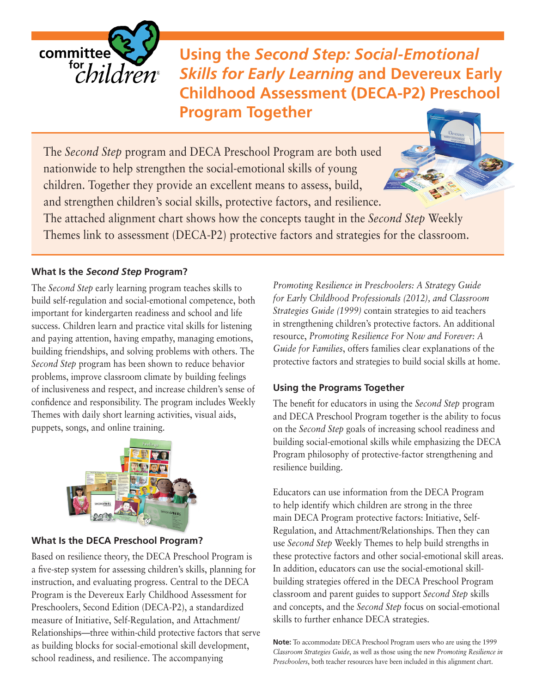

**Using the** *Second Step: Social-Emotional Skills for Early Learning* **and Devereux Early Childhood Assessment (DECA-P2) Preschool Program Together**

The *Second Step* program and DECA Preschool Program are both used nationwide to help strengthen the social-emotional skills of young children. Together they provide an excellent means to assess, build, and strengthen children's social skills, protective factors, and resilience. The attached alignment chart shows how the concepts taught in the *Second Step* Weekly Themes link to assessment (DECA-P2) protective factors and strategies for the classroom.

#### **What Is the** *Second Step* **Program?**

The *Second Step* early learning program teaches skills to build self-regulation and social-emotional competence, both important for kindergarten readiness and school and life success. Children learn and practice vital skills for listening and paying attention, having empathy, managing emotions, building friendships, and solving problems with others. The *Second Step* program has been shown to reduce behavior problems, improve classroom climate by building feelings of inclusiveness and respect, and increase children's sense of confidence and responsibility. The program includes Weekly Themes with daily short learning activities, visual aids, puppets, songs, and online training.



#### **What Is the DECA Preschool Program?**

Based on resilience theory, the DECA Preschool Program is a five-step system for assessing children's skills, planning for instruction, and evaluating progress. Central to the DECA Program is the Devereux Early Childhood Assessment for Preschoolers, Second Edition (DECA-P2), a standardized measure of Initiative, Self-Regulation, and Attachment/ Relationships—three within-child protective factors that serve as building blocks for social-emotional skill development, school readiness, and resilience. The accompanying

*Promoting Resilience in Preschoolers: A Strategy Guide for Early Childhood Professionals (2012), and Classroom Strategies Guide (1999)* contain strategies to aid teachers in strengthening children's protective factors. An additional resource, *Promoting Resilience For Now and Forever: A Guide for Families*, offers families clear explanations of the protective factors and strategies to build social skills at home.

#### **Using the Programs Together**

The benefit for educators in using the *Second Step* program and DECA Preschool Program together is the ability to focus on the *Second Step* goals of increasing school readiness and building social-emotional skills while emphasizing the DECA Program philosophy of protective-factor strengthening and resilience building.

Educators can use information from the DECA Program to help identify which children are strong in the three main DECA Program protective factors: Initiative, Self-Regulation, and Attachment/Relationships. Then they can use *Second Step* Weekly Themes to help build strengths in these protective factors and other social-emotional skill areas. In addition, educators can use the social-emotional skillbuilding strategies offered in the DECA Preschool Program classroom and parent guides to support *Second Step* skills and concepts, and the *Second Step* focus on social-emotional skills to further enhance DECA strategies.

**Note:** To accommodate DECA Preschool Program users who are using the 1999 *Classroom Strategies Guide*, as well as those using the new *Promoting Resilience in Preschoolers*, both teacher resources have been included in this alignment chart.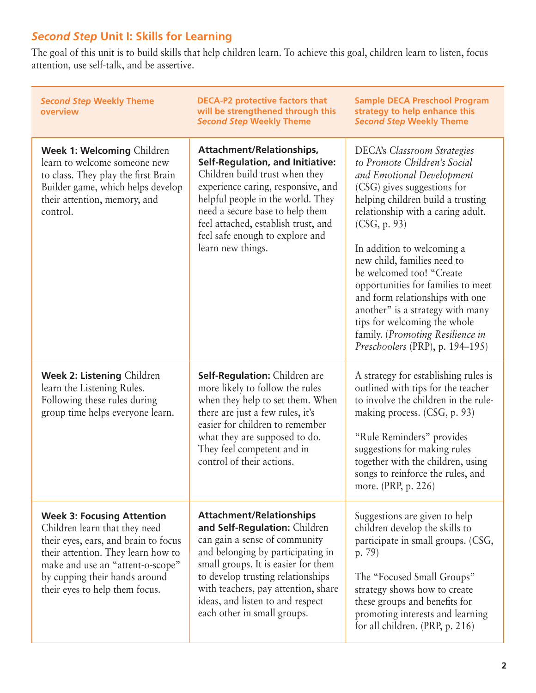## *Second Step* **Unit I: Skills for Learning**

The goal of this unit is to build skills that help children learn. To achieve this goal, children learn to listen, focus attention, use self-talk, and be assertive.

| <b>Second Step Weekly Theme</b><br>overview                                                                                                                                                                                                             | <b>DECA-P2 protective factors that</b><br>will be strengthened through this<br><b>Second Step Weekly Theme</b>                                                                                                                                                                                                               | <b>Sample DECA Preschool Program</b><br>strategy to help enhance this<br><b>Second Step Weekly Theme</b>                                                                                                                                                                                                                                                                                                                                                                                                                              |
|---------------------------------------------------------------------------------------------------------------------------------------------------------------------------------------------------------------------------------------------------------|------------------------------------------------------------------------------------------------------------------------------------------------------------------------------------------------------------------------------------------------------------------------------------------------------------------------------|---------------------------------------------------------------------------------------------------------------------------------------------------------------------------------------------------------------------------------------------------------------------------------------------------------------------------------------------------------------------------------------------------------------------------------------------------------------------------------------------------------------------------------------|
| Week 1: Welcoming Children<br>learn to welcome someone new<br>to class. They play the first Brain<br>Builder game, which helps develop<br>their attention, memory, and<br>control.                                                                      | Attachment/Relationships,<br><b>Self-Regulation, and Initiative:</b><br>Children build trust when they<br>experience caring, responsive, and<br>helpful people in the world. They<br>need a secure base to help them<br>feel attached, establish trust, and<br>feel safe enough to explore and<br>learn new things.          | <b>DECA's Classroom Strategies</b><br>to Promote Children's Social<br>and Emotional Development<br>(CSG) gives suggestions for<br>helping children build a trusting<br>relationship with a caring adult.<br>(CSG, p. 93)<br>In addition to welcoming a<br>new child, families need to<br>be welcomed too! "Create<br>opportunities for families to meet<br>and form relationships with one<br>another" is a strategy with many<br>tips for welcoming the whole<br>family. (Promoting Resilience in<br>Preschoolers (PRP), p. 194–195) |
| <b>Week 2: Listening Children</b><br>learn the Listening Rules.<br>Following these rules during<br>group time helps everyone learn.                                                                                                                     | Self-Regulation: Children are<br>more likely to follow the rules<br>when they help to set them. When<br>there are just a few rules, it's<br>easier for children to remember<br>what they are supposed to do.<br>They feel competent and in<br>control of their actions.                                                      | A strategy for establishing rules is<br>outlined with tips for the teacher<br>to involve the children in the rule-<br>making process. (CSG, p. 93)<br>"Rule Reminders" provides<br>suggestions for making rules<br>together with the children, using<br>songs to reinforce the rules, and<br>more. (PRP, p. 226)                                                                                                                                                                                                                      |
| <b>Week 3: Focusing Attention</b><br>Children learn that they need<br>their eyes, ears, and brain to focus<br>their attention. They learn how to<br>make and use an "attent-o-scope"<br>by cupping their hands around<br>their eyes to help them focus. | <b>Attachment/Relationships</b><br>and Self-Regulation: Children<br>can gain a sense of community<br>and belonging by participating in<br>small groups. It is easier for them<br>to develop trusting relationships<br>with teachers, pay attention, share<br>ideas, and listen to and respect<br>each other in small groups. | Suggestions are given to help<br>children develop the skills to<br>participate in small groups. (CSG,<br>p. 79)<br>The "Focused Small Groups"<br>strategy shows how to create<br>these groups and benefits for<br>promoting interests and learning<br>for all children. (PRP, p. 216)                                                                                                                                                                                                                                                 |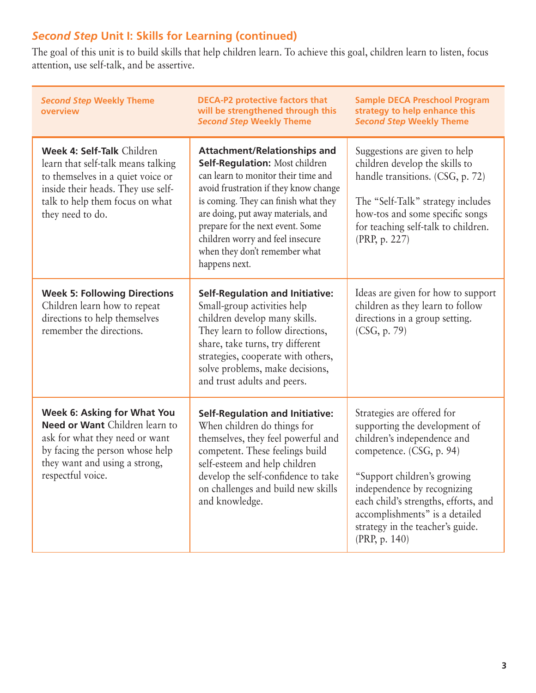## *Second Step* **Unit I: Skills for Learning (continued)**

The goal of this unit is to build skills that help children learn. To achieve this goal, children learn to listen, focus attention, use self-talk, and be assertive.

| <b>Second Step Weekly Theme</b><br>overview                                                                                                                                                        | <b>DECA-P2 protective factors that</b><br>will be strengthened through this<br><b>Second Step Weekly Theme</b>                                                                                                                                                                                                                                                | <b>Sample DECA Preschool Program</b><br>strategy to help enhance this<br><b>Second Step Weekly Theme</b>                                                                                                                                                                                                            |
|----------------------------------------------------------------------------------------------------------------------------------------------------------------------------------------------------|---------------------------------------------------------------------------------------------------------------------------------------------------------------------------------------------------------------------------------------------------------------------------------------------------------------------------------------------------------------|---------------------------------------------------------------------------------------------------------------------------------------------------------------------------------------------------------------------------------------------------------------------------------------------------------------------|
| Week 4: Self-Talk Children<br>learn that self-talk means talking<br>to themselves in a quiet voice or<br>inside their heads. They use self-<br>talk to help them focus on what<br>they need to do. | <b>Attachment/Relationships and</b><br>Self-Regulation: Most children<br>can learn to monitor their time and<br>avoid frustration if they know change<br>is coming. They can finish what they<br>are doing, put away materials, and<br>prepare for the next event. Some<br>children worry and feel insecure<br>when they don't remember what<br>happens next. | Suggestions are given to help<br>children develop the skills to<br>handle transitions. (CSG, p. 72)<br>The "Self-Talk" strategy includes<br>how-tos and some specific songs<br>for teaching self-talk to children.<br>(PRP, p. 227)                                                                                 |
| <b>Week 5: Following Directions</b><br>Children learn how to repeat<br>directions to help themselves<br>remember the directions.                                                                   | <b>Self-Regulation and Initiative:</b><br>Small-group activities help<br>children develop many skills.<br>They learn to follow directions,<br>share, take turns, try different<br>strategies, cooperate with others,<br>solve problems, make decisions,<br>and trust adults and peers.                                                                        | Ideas are given for how to support<br>children as they learn to follow<br>directions in a group setting.<br>(CSG, p. 79)                                                                                                                                                                                            |
| <b>Week 6: Asking for What You</b><br>Need or Want Children learn to<br>ask for what they need or want<br>by facing the person whose help<br>they want and using a strong,<br>respectful voice.    | <b>Self-Regulation and Initiative:</b><br>When children do things for<br>themselves, they feel powerful and<br>competent. These feelings build<br>self-esteem and help children<br>develop the self-confidence to take<br>on challenges and build new skills<br>and knowledge.                                                                                | Strategies are offered for<br>supporting the development of<br>children's independence and<br>competence. (CSG, p. 94)<br>"Support children's growing<br>independence by recognizing<br>each child's strengths, efforts, and<br>accomplishments" is a detailed<br>strategy in the teacher's guide.<br>(PRP, p. 140) |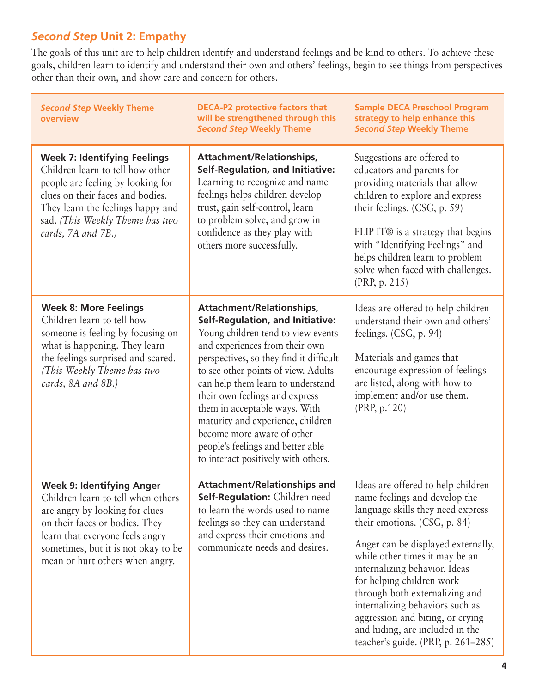# *Second Step* **Unit 2: Empathy**

The goals of this unit are to help children identify and understand feelings and be kind to others. To achieve these goals, children learn to identify and understand their own and others' feelings, begin to see things from perspectives other than their own, and show care and concern for others.

| <b>Second Step Weekly Theme</b><br>overview                                                                                                                                                                                                             | <b>DECA-P2 protective factors that</b><br>will be strengthened through this<br><b>Second Step Weekly Theme</b>                                                                                                                                                                                                                                                                                                                                                                        | <b>Sample DECA Preschool Program</b><br>strategy to help enhance this<br><b>Second Step Weekly Theme</b>                                                                                                                                                                                                                                                                                                                                                            |
|---------------------------------------------------------------------------------------------------------------------------------------------------------------------------------------------------------------------------------------------------------|---------------------------------------------------------------------------------------------------------------------------------------------------------------------------------------------------------------------------------------------------------------------------------------------------------------------------------------------------------------------------------------------------------------------------------------------------------------------------------------|---------------------------------------------------------------------------------------------------------------------------------------------------------------------------------------------------------------------------------------------------------------------------------------------------------------------------------------------------------------------------------------------------------------------------------------------------------------------|
| <b>Week 7: Identifying Feelings</b><br>Children learn to tell how other<br>people are feeling by looking for<br>clues on their faces and bodies.<br>They learn the feelings happy and<br>sad. (This Weekly Theme has two<br>cards, 7A and 7B.)          | Attachment/Relationships,<br><b>Self-Regulation, and Initiative:</b><br>Learning to recognize and name<br>feelings helps children develop<br>trust, gain self-control, learn<br>to problem solve, and grow in<br>confidence as they play with<br>others more successfully.                                                                                                                                                                                                            | Suggestions are offered to<br>educators and parents for<br>providing materials that allow<br>children to explore and express<br>their feelings. (CSG, p. 59)<br>FLIP IT <sup>®</sup> is a strategy that begins<br>with "Identifying Feelings" and<br>helps children learn to problem<br>solve when faced with challenges.<br>(PRP, p. 215)                                                                                                                          |
| <b>Week 8: More Feelings</b><br>Children learn to tell how<br>someone is feeling by focusing on<br>what is happening. They learn<br>the feelings surprised and scared.<br>(This Weekly Theme has two<br>cards, 8A and 8B.)                              | Attachment/Relationships,<br><b>Self-Regulation, and Initiative:</b><br>Young children tend to view events<br>and experiences from their own<br>perspectives, so they find it difficult<br>to see other points of view. Adults<br>can help them learn to understand<br>their own feelings and express<br>them in acceptable ways. With<br>maturity and experience, children<br>become more aware of other<br>people's feelings and better able<br>to interact positively with others. | Ideas are offered to help children<br>understand their own and others'<br>feelings. (CSG, p. 94)<br>Materials and games that<br>encourage expression of feelings<br>are listed, along with how to<br>implement and/or use them.<br>(PRP, p.120)                                                                                                                                                                                                                     |
| <b>Week 9: Identifying Anger</b><br>Children learn to tell when others<br>are angry by looking for clues<br>on their faces or bodies. They<br>learn that everyone feels angry<br>sometimes, but it is not okay to be<br>mean or hurt others when angry. | <b>Attachment/Relationships and</b><br>Self-Regulation: Children need<br>to learn the words used to name<br>feelings so they can understand<br>and express their emotions and<br>communicate needs and desires.                                                                                                                                                                                                                                                                       | Ideas are offered to help children<br>name feelings and develop the<br>language skills they need express<br>their emotions. (CSG, p. 84)<br>Anger can be displayed externally,<br>while other times it may be an<br>internalizing behavior. Ideas<br>for helping children work<br>through both externalizing and<br>internalizing behaviors such as<br>aggression and biting, or crying<br>and hiding, are included in the<br>teacher's guide. (PRP, $p. 261-285$ ) |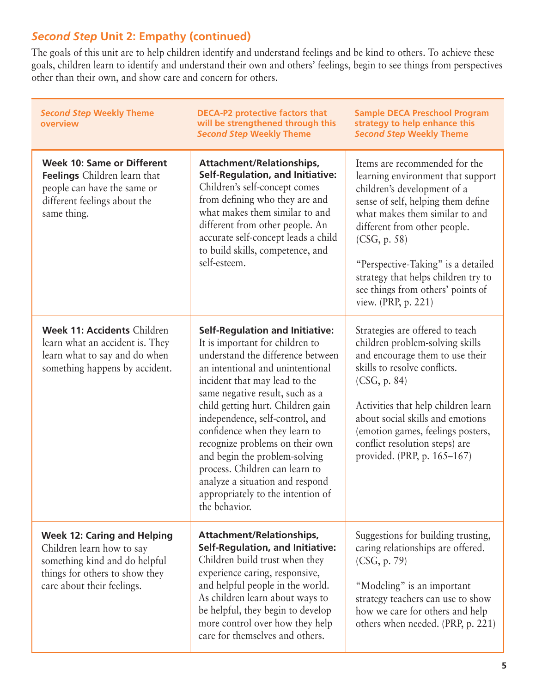## *Second Step* **Unit 2: Empathy (continued)**

The goals of this unit are to help children identify and understand feelings and be kind to others. To achieve these goals, children learn to identify and understand their own and others' feelings, begin to see things from perspectives other than their own, and show care and concern for others.

| <b>Second Step Weekly Theme</b><br>overview                                                                                                                      | <b>DECA-P2 protective factors that</b><br>will be strengthened through this<br><b>Second Step Weekly Theme</b>                                                                                                                                                                                                                                                                                                                                                                                                                 | <b>Sample DECA Preschool Program</b><br>strategy to help enhance this<br><b>Second Step Weekly Theme</b>                                                                                                                                                                                                                                                           |
|------------------------------------------------------------------------------------------------------------------------------------------------------------------|--------------------------------------------------------------------------------------------------------------------------------------------------------------------------------------------------------------------------------------------------------------------------------------------------------------------------------------------------------------------------------------------------------------------------------------------------------------------------------------------------------------------------------|--------------------------------------------------------------------------------------------------------------------------------------------------------------------------------------------------------------------------------------------------------------------------------------------------------------------------------------------------------------------|
| <b>Week 10: Same or Different</b><br><b>Feelings</b> Children learn that<br>people can have the same or<br>different feelings about the<br>same thing.           | Attachment/Relationships,<br><b>Self-Regulation, and Initiative:</b><br>Children's self-concept comes<br>from defining who they are and<br>what makes them similar to and<br>different from other people. An<br>accurate self-concept leads a child<br>to build skills, competence, and<br>self-esteem.                                                                                                                                                                                                                        | Items are recommended for the<br>learning environment that support<br>children's development of a<br>sense of self, helping them define<br>what makes them similar to and<br>different from other people.<br>(CSG, p. 58)<br>"Perspective-Taking" is a detailed<br>strategy that helps children try to<br>see things from others' points of<br>view. (PRP, p. 221) |
| Week 11: Accidents Children<br>learn what an accident is. They<br>learn what to say and do when<br>something happens by accident.                                | <b>Self-Regulation and Initiative:</b><br>It is important for children to<br>understand the difference between<br>an intentional and unintentional<br>incident that may lead to the<br>same negative result, such as a<br>child getting hurt. Children gain<br>independence, self-control, and<br>confidence when they learn to<br>recognize problems on their own<br>and begin the problem-solving<br>process. Children can learn to<br>analyze a situation and respond<br>appropriately to the intention of<br>the behavior. | Strategies are offered to teach<br>children problem-solving skills<br>and encourage them to use their<br>skills to resolve conflicts.<br>(CSG, p. 84)<br>Activities that help children learn<br>about social skills and emotions<br>(emotion games, feelings posters,<br>conflict resolution steps) are<br>provided. (PRP, p. 165-167)                             |
| <b>Week 12: Caring and Helping</b><br>Children learn how to say<br>something kind and do helpful<br>things for others to show they<br>care about their feelings. | Attachment/Relationships,<br><b>Self-Regulation, and Initiative:</b><br>Children build trust when they<br>experience caring, responsive,<br>and helpful people in the world.<br>As children learn about ways to<br>be helpful, they begin to develop<br>more control over how they help<br>care for themselves and others.                                                                                                                                                                                                     | Suggestions for building trusting,<br>caring relationships are offered.<br>(CSG, p. 79)<br>"Modeling" is an important<br>strategy teachers can use to show<br>how we care for others and help<br>others when needed. (PRP, p. 221)                                                                                                                                 |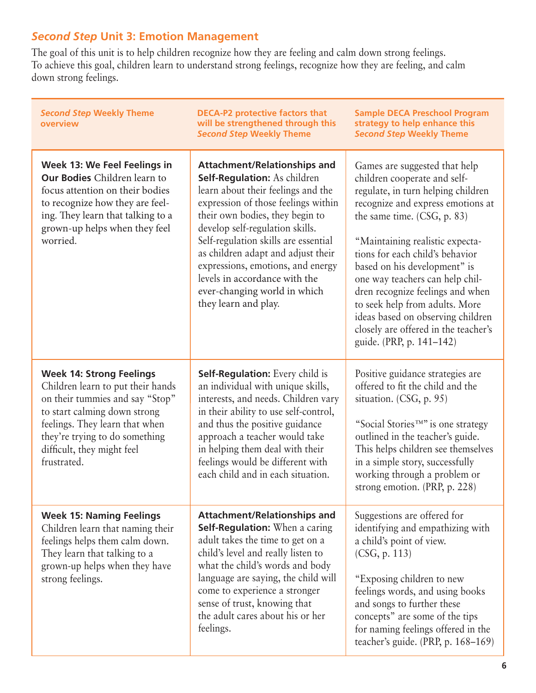## *Second Step* **Unit 3: Emotion Management**

The goal of this unit is to help children recognize how they are feeling and calm down strong feelings. To achieve this goal, children learn to understand strong feelings, recognize how they are feeling, and calm down strong feelings.

| <b>Second Step Weekly Theme</b><br>overview                                                                                                                                                                                                              | <b>DECA-P2 protective factors that</b><br>will be strengthened through this<br><b>Second Step Weekly Theme</b>                                                                                                                                                                                                                                                                                                                            | <b>Sample DECA Preschool Program</b><br>strategy to help enhance this<br><b>Second Step Weekly Theme</b>                                                                                                                                                                                                                                                                                                                                                                                        |
|----------------------------------------------------------------------------------------------------------------------------------------------------------------------------------------------------------------------------------------------------------|-------------------------------------------------------------------------------------------------------------------------------------------------------------------------------------------------------------------------------------------------------------------------------------------------------------------------------------------------------------------------------------------------------------------------------------------|-------------------------------------------------------------------------------------------------------------------------------------------------------------------------------------------------------------------------------------------------------------------------------------------------------------------------------------------------------------------------------------------------------------------------------------------------------------------------------------------------|
| Week 13: We Feel Feelings in<br><b>Our Bodies</b> Children learn to<br>focus attention on their bodies<br>to recognize how they are feel-<br>ing. They learn that talking to a<br>grown-up helps when they feel<br>worried.                              | <b>Attachment/Relationships and</b><br><b>Self-Regulation: As children</b><br>learn about their feelings and the<br>expression of those feelings within<br>their own bodies, they begin to<br>develop self-regulation skills.<br>Self-regulation skills are essential<br>as children adapt and adjust their<br>expressions, emotions, and energy<br>levels in accordance with the<br>ever-changing world in which<br>they learn and play. | Games are suggested that help<br>children cooperate and self-<br>regulate, in turn helping children<br>recognize and express emotions at<br>the same time. (CSG, p. 83)<br>"Maintaining realistic expecta-<br>tions for each child's behavior<br>based on his development" is<br>one way teachers can help chil-<br>dren recognize feelings and when<br>to seek help from adults. More<br>ideas based on observing children<br>closely are offered in the teacher's<br>guide. (PRP, p. 141-142) |
| <b>Week 14: Strong Feelings</b><br>Children learn to put their hands<br>on their tummies and say "Stop"<br>to start calming down strong<br>feelings. They learn that when<br>they're trying to do something<br>difficult, they might feel<br>frustrated. | <b>Self-Regulation:</b> Every child is<br>an individual with unique skills,<br>interests, and needs. Children vary<br>in their ability to use self-control,<br>and thus the positive guidance<br>approach a teacher would take<br>in helping them deal with their<br>feelings would be different with<br>each child and in each situation.                                                                                                | Positive guidance strategies are<br>offered to fit the child and the<br>situation. (CSG, p. 95)<br>"Social Stories <sup>TM"</sup> is one strategy<br>outlined in the teacher's guide.<br>This helps children see themselves<br>in a simple story, successfully<br>working through a problem or<br>strong emotion. (PRP, p. 228)                                                                                                                                                                 |
| <b>Week 15: Naming Feelings</b><br>Children learn that naming their<br>feelings helps them calm down.<br>They learn that talking to a<br>grown-up helps when they have<br>strong feelings.                                                               | <b>Attachment/Relationships and</b><br>Self-Regulation: When a caring<br>adult takes the time to get on a<br>child's level and really listen to<br>what the child's words and body<br>language are saying, the child will<br>come to experience a stronger<br>sense of trust, knowing that<br>the adult cares about his or her<br>feelings.                                                                                               | Suggestions are offered for<br>identifying and empathizing with<br>a child's point of view.<br>(CSG, p. 113)<br>"Exposing children to new<br>feelings words, and using books<br>and songs to further these<br>concepts" are some of the tips<br>for naming feelings offered in the<br>teacher's guide. (PRP, p. 168-169)                                                                                                                                                                        |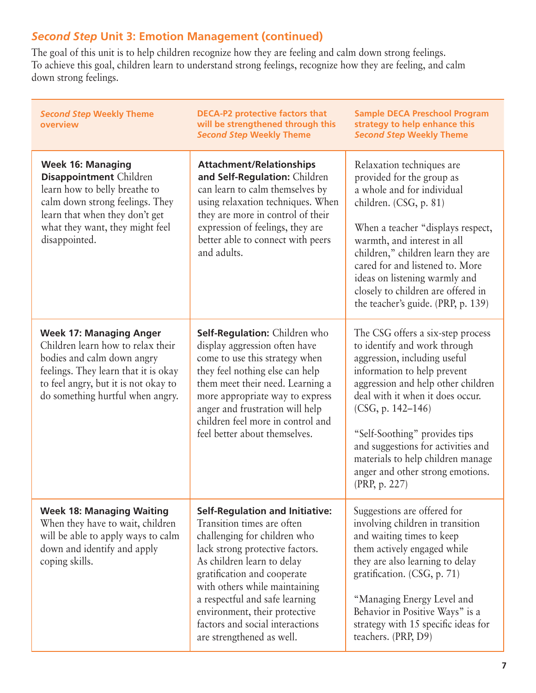## *Second Step* **Unit 3: Emotion Management (continued)**

The goal of this unit is to help children recognize how they are feeling and calm down strong feelings. To achieve this goal, children learn to understand strong feelings, recognize how they are feeling, and calm down strong feelings.

| <b>Second Step Weekly Theme</b><br>overview                                                                                                                                                                           | <b>DECA-P2 protective factors that</b><br>will be strengthened through this<br><b>Second Step Weekly Theme</b>                                                                                                                                                                                                                                                           | <b>Sample DECA Preschool Program</b><br>strategy to help enhance this<br><b>Second Step Weekly Theme</b>                                                                                                                                                                                                                                                                                         |
|-----------------------------------------------------------------------------------------------------------------------------------------------------------------------------------------------------------------------|--------------------------------------------------------------------------------------------------------------------------------------------------------------------------------------------------------------------------------------------------------------------------------------------------------------------------------------------------------------------------|--------------------------------------------------------------------------------------------------------------------------------------------------------------------------------------------------------------------------------------------------------------------------------------------------------------------------------------------------------------------------------------------------|
| <b>Week 16: Managing</b><br><b>Disappointment</b> Children<br>learn how to belly breathe to<br>calm down strong feelings. They<br>learn that when they don't get<br>what they want, they might feel<br>disappointed.  | <b>Attachment/Relationships</b><br>and Self-Regulation: Children<br>can learn to calm themselves by<br>using relaxation techniques. When<br>they are more in control of their<br>expression of feelings, they are<br>better able to connect with peers<br>and adults.                                                                                                    | Relaxation techniques are<br>provided for the group as<br>a whole and for individual<br>children. (CSG, p. 81)<br>When a teacher "displays respect,<br>warmth, and interest in all<br>children," children learn they are<br>cared for and listened to. More<br>ideas on listening warmly and<br>closely to children are offered in<br>the teacher's guide. (PRP, p. 139)                         |
| <b>Week 17: Managing Anger</b><br>Children learn how to relax their<br>bodies and calm down angry<br>feelings. They learn that it is okay<br>to feel angry, but it is not okay to<br>do something hurtful when angry. | Self-Regulation: Children who<br>display aggression often have<br>come to use this strategy when<br>they feel nothing else can help<br>them meet their need. Learning a<br>more appropriate way to express<br>anger and frustration will help<br>children feel more in control and<br>feel better about themselves.                                                      | The CSG offers a six-step process<br>to identify and work through<br>aggression, including useful<br>information to help prevent<br>aggression and help other children<br>deal with it when it does occur.<br>(CSG, p. 142–146)<br>"Self-Soothing" provides tips<br>and suggestions for activities and<br>materials to help children manage<br>anger and other strong emotions.<br>(PRP, p. 227) |
| <b>Week 18: Managing Waiting</b><br>When they have to wait, children<br>will be able to apply ways to calm<br>down and identify and apply<br>coping skills.                                                           | <b>Self-Regulation and Initiative:</b><br>Transition times are often<br>challenging for children who<br>lack strong protective factors.<br>As children learn to delay<br>gratification and cooperate<br>with others while maintaining<br>a respectful and safe learning<br>environment, their protective<br>factors and social interactions<br>are strengthened as well. | Suggestions are offered for<br>involving children in transition<br>and waiting times to keep<br>them actively engaged while<br>they are also learning to delay<br>gratification. (CSG, p. 71)<br>"Managing Energy Level and<br>Behavior in Positive Ways" is a<br>strategy with 15 specific ideas for<br>teachers. (PRP, D9)                                                                     |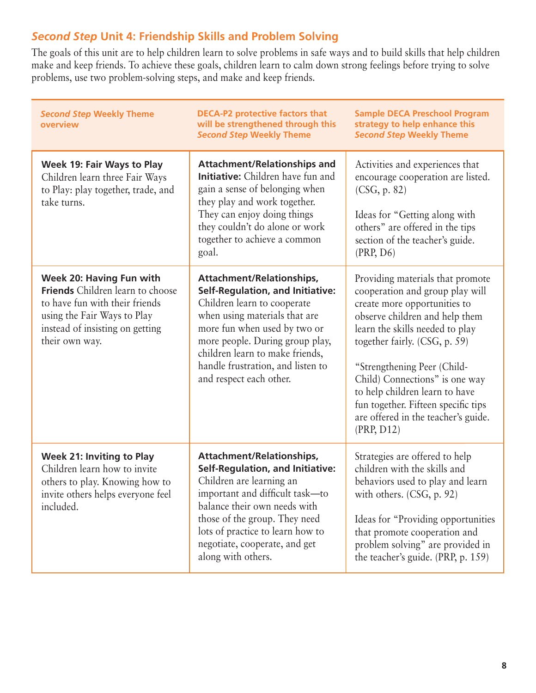### *Second Step* **Unit 4: Friendship Skills and Problem Solving**

The goals of this unit are to help children learn to solve problems in safe ways and to build skills that help children make and keep friends. To achieve these goals, children learn to calm down strong feelings before trying to solve problems, use two problem-solving steps, and make and keep friends.

| <b>Second Step Weekly Theme</b><br>overview                                                                                                                                               | <b>DECA-P2 protective factors that</b><br>will be strengthened through this<br><b>Second Step Weekly Theme</b>                                                                                                                                                                                             | <b>Sample DECA Preschool Program</b><br>strategy to help enhance this<br><b>Second Step Weekly Theme</b>                                                                                                                                                                                                                                                                                                 |
|-------------------------------------------------------------------------------------------------------------------------------------------------------------------------------------------|------------------------------------------------------------------------------------------------------------------------------------------------------------------------------------------------------------------------------------------------------------------------------------------------------------|----------------------------------------------------------------------------------------------------------------------------------------------------------------------------------------------------------------------------------------------------------------------------------------------------------------------------------------------------------------------------------------------------------|
| Week 19: Fair Ways to Play<br>Children learn three Fair Ways<br>to Play: play together, trade, and<br>take turns.                                                                         | <b>Attachment/Relationships and</b><br><b>Initiative:</b> Children have fun and<br>gain a sense of belonging when<br>they play and work together.<br>They can enjoy doing things<br>they couldn't do alone or work<br>together to achieve a common<br>goal.                                                | Activities and experiences that<br>encourage cooperation are listed.<br>(CSG, p. 82)<br>Ideas for "Getting along with<br>others" are offered in the tips<br>section of the teacher's guide.<br>(PRP, D6)                                                                                                                                                                                                 |
| Week 20: Having Fun with<br><b>Friends</b> Children learn to choose<br>to have fun with their friends<br>using the Fair Ways to Play<br>instead of insisting on getting<br>their own way. | Attachment/Relationships,<br><b>Self-Regulation, and Initiative:</b><br>Children learn to cooperate<br>when using materials that are<br>more fun when used by two or<br>more people. During group play,<br>children learn to make friends,<br>handle frustration, and listen to<br>and respect each other. | Providing materials that promote<br>cooperation and group play will<br>create more opportunities to<br>observe children and help them<br>learn the skills needed to play<br>together fairly. (CSG, p. 59)<br>"Strengthening Peer (Child-<br>Child) Connections" is one way<br>to help children learn to have<br>fun together. Fifteen specific tips<br>are offered in the teacher's guide.<br>(PRP, D12) |
| <b>Week 21: Inviting to Play</b><br>Children learn how to invite<br>others to play. Knowing how to<br>invite others helps everyone feel<br>included.                                      | Attachment/Relationships,<br><b>Self-Regulation, and Initiative:</b><br>Children are learning an<br>important and difficult task-to<br>balance their own needs with<br>those of the group. They need<br>lots of practice to learn how to<br>negotiate, cooperate, and get<br>along with others.            | Strategies are offered to help<br>children with the skills and<br>behaviors used to play and learn<br>with others. (CSG, p. 92)<br>Ideas for "Providing opportunities"<br>that promote cooperation and<br>problem solving" are provided in<br>the teacher's guide. (PRP, p. 159)                                                                                                                         |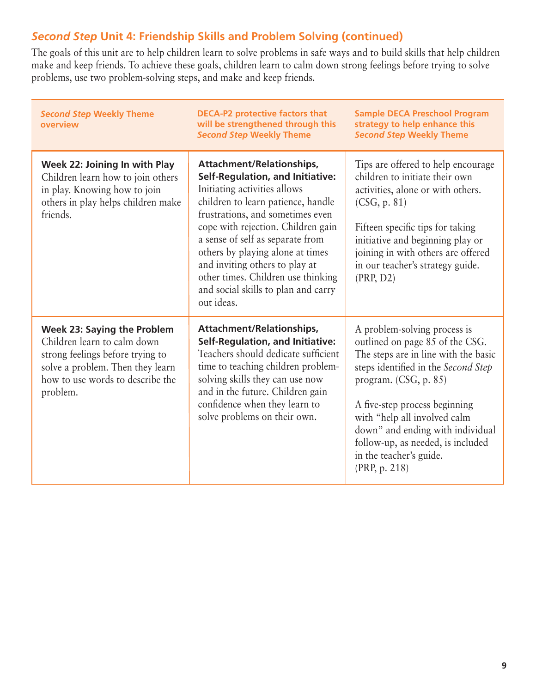### *Second Step* **Unit 4: Friendship Skills and Problem Solving (continued)**

The goals of this unit are to help children learn to solve problems in safe ways and to build skills that help children make and keep friends. To achieve these goals, children learn to calm down strong feelings before trying to solve problems, use two problem-solving steps, and make and keep friends.

| <b>Second Step Weekly Theme</b><br>overview                                                                                                                                               | <b>DECA-P2 protective factors that</b><br>will be strengthened through this<br><b>Second Step Weekly Theme</b>                                                                                                                                                                                                                                                                                                            | <b>Sample DECA Preschool Program</b><br>strategy to help enhance this<br><b>Second Step Weekly Theme</b>                                                                                                                                                                                                                                                      |
|-------------------------------------------------------------------------------------------------------------------------------------------------------------------------------------------|---------------------------------------------------------------------------------------------------------------------------------------------------------------------------------------------------------------------------------------------------------------------------------------------------------------------------------------------------------------------------------------------------------------------------|---------------------------------------------------------------------------------------------------------------------------------------------------------------------------------------------------------------------------------------------------------------------------------------------------------------------------------------------------------------|
| Week 22: Joining In with Play<br>Children learn how to join others<br>in play. Knowing how to join<br>others in play helps children make<br>friends.                                      | Attachment/Relationships,<br><b>Self-Regulation, and Initiative:</b><br>Initiating activities allows<br>children to learn patience, handle<br>frustrations, and sometimes even<br>cope with rejection. Children gain<br>a sense of self as separate from<br>others by playing alone at times<br>and inviting others to play at<br>other times. Children use thinking<br>and social skills to plan and carry<br>out ideas. | Tips are offered to help encourage<br>children to initiate their own<br>activities, alone or with others.<br>(CSG, p. 81)<br>Fifteen specific tips for taking<br>initiative and beginning play or<br>joining in with others are offered<br>in our teacher's strategy guide.<br>(PRP, D2)                                                                      |
| <b>Week 23: Saying the Problem</b><br>Children learn to calm down<br>strong feelings before trying to<br>solve a problem. Then they learn<br>how to use words to describe the<br>problem. | Attachment/Relationships,<br><b>Self-Regulation, and Initiative:</b><br>Teachers should dedicate sufficient<br>time to teaching children problem-<br>solving skills they can use now<br>and in the future. Children gain<br>confidence when they learn to<br>solve problems on their own.                                                                                                                                 | A problem-solving process is<br>outlined on page 85 of the CSG.<br>The steps are in line with the basic<br>steps identified in the Second Step<br>program. (CSG, p. 85)<br>A five-step process beginning<br>with "help all involved calm<br>down" and ending with individual<br>follow-up, as needed, is included<br>in the teacher's guide.<br>(PRP, p. 218) |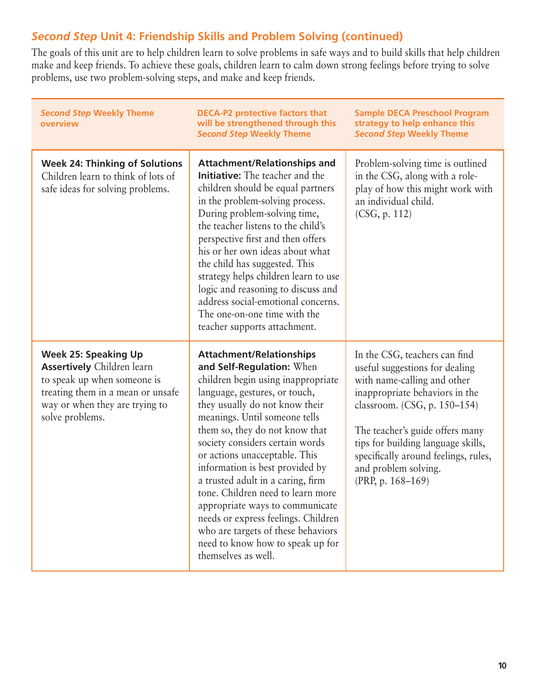#### *Second Step* **Unit 4: Friendship Skills and Problem Solving (continued)**

The goals of this unit are to help children learn to solve problems in safe ways and to build skills that help children make and keep friends. To achieve these goals, children learn to calm down strong feelings before trying to solve problems, use two problem-solving steps, and make and keep friends.

| <b>Second Step Weekly Theme</b><br>overview                                                                                                                                               | <b>DECA-P2 protective factors that</b><br>will be strengthened through this<br><b>Second Step Weekly Theme</b>                                                                                                                                                                                                                                                                                                                                                                                                                                                                                       | <b>Sample DECA Preschool Program</b><br>strategy to help enhance this<br><b>Second Step Weekly Theme</b>                                                                                                                                                                                                                          |
|-------------------------------------------------------------------------------------------------------------------------------------------------------------------------------------------|------------------------------------------------------------------------------------------------------------------------------------------------------------------------------------------------------------------------------------------------------------------------------------------------------------------------------------------------------------------------------------------------------------------------------------------------------------------------------------------------------------------------------------------------------------------------------------------------------|-----------------------------------------------------------------------------------------------------------------------------------------------------------------------------------------------------------------------------------------------------------------------------------------------------------------------------------|
| <b>Week 24: Thinking of Solutions</b><br>Children learn to think of lots of<br>safe ideas for solving problems.                                                                           | <b>Attachment/Relationships and</b><br><b>Initiative:</b> The teacher and the<br>children should be equal partners<br>in the problem-solving process.<br>During problem-solving time,<br>the teacher listens to the child's<br>perspective first and then offers<br>his or her own ideas about what<br>the child has suggested. This<br>strategy helps children learn to use<br>logic and reasoning to discuss and<br>address social-emotional concerns.<br>The one-on-one time with the<br>teacher supports attachment.                                                                             | Problem-solving time is outlined<br>in the CSG, along with a role-<br>play of how this might work with<br>an individual child.<br>(CSG, p. 112)                                                                                                                                                                                   |
| <b>Week 25: Speaking Up</b><br><b>Assertively</b> Children learn<br>to speak up when someone is<br>treating them in a mean or unsafe<br>way or when they are trying to<br>solve problems. | <b>Attachment/Relationships</b><br>and Self-Regulation: When<br>children begin using inappropriate<br>language, gestures, or touch,<br>they usually do not know their<br>meanings. Until someone tells<br>them so, they do not know that<br>society considers certain words<br>or actions unacceptable. This<br>information is best provided by<br>a trusted adult in a caring, firm<br>tone. Children need to learn more<br>appropriate ways to communicate<br>needs or express feelings. Children<br>who are targets of these behaviors<br>need to know how to speak up for<br>themselves as well. | In the CSG, teachers can find<br>useful suggestions for dealing<br>with name-calling and other<br>inappropriate behaviors in the<br>classroom. (CSG, p. 150-154)<br>The teacher's guide offers many<br>tips for building language skills,<br>specifically around feelings, rules,<br>and problem solving.<br>(PRP, p. $168-169$ ) |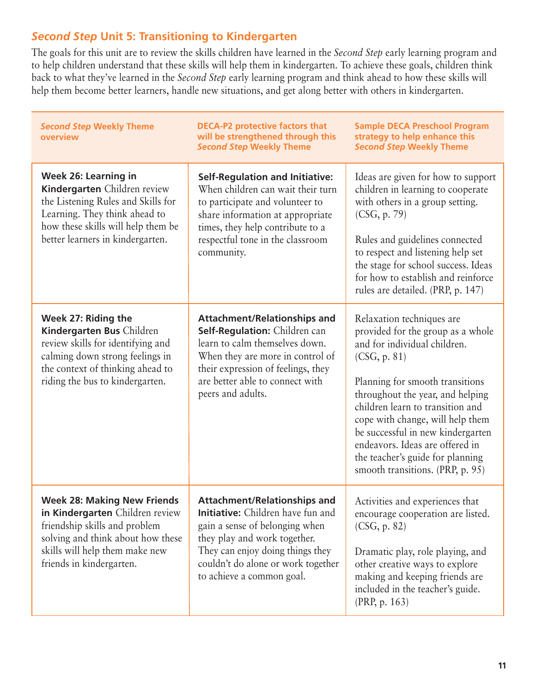### *Second Step* **Unit 5: Transitioning to Kindergarten**

The goals for this unit are to review the skills children have learned in the *Second Step* early learning program and to help children understand that these skills will help them in kindergarten. To achieve these goals, children think back to what they've learned in the *Second Step* early learning program and think ahead to how these skills will help them become better learners, handle new situations, and get along better with others in kindergarten.

| <b>Second Step Weekly Theme</b><br>overview                                                                                                                                                               | <b>DECA-P2 protective factors that</b><br>will be strengthened through this<br><b>Second Step Weekly Theme</b>                                                                                                                                           | <b>Sample DECA Preschool Program</b><br>strategy to help enhance this<br><b>Second Step Weekly Theme</b>                                                                                                                                                                                                                                                                                                      |
|-----------------------------------------------------------------------------------------------------------------------------------------------------------------------------------------------------------|----------------------------------------------------------------------------------------------------------------------------------------------------------------------------------------------------------------------------------------------------------|---------------------------------------------------------------------------------------------------------------------------------------------------------------------------------------------------------------------------------------------------------------------------------------------------------------------------------------------------------------------------------------------------------------|
| Week 26: Learning in<br>Kindergarten Children review<br>the Listening Rules and Skills for<br>Learning. They think ahead to<br>how these skills will help them be<br>better learners in kindergarten.     | <b>Self-Regulation and Initiative:</b><br>When children can wait their turn<br>to participate and volunteer to<br>share information at appropriate<br>times, they help contribute to a<br>respectful tone in the classroom<br>community.                 | Ideas are given for how to support<br>children in learning to cooperate<br>with others in a group setting.<br>(CSG, p. 79)<br>Rules and guidelines connected<br>to respect and listening help set<br>the stage for school success. Ideas<br>for how to establish and reinforce<br>rules are detailed. (PRP, p. 147)                                                                                           |
| Week 27: Riding the<br>Kindergarten Bus Children<br>review skills for identifying and<br>calming down strong feelings in<br>the context of thinking ahead to<br>riding the bus to kindergarten.           | <b>Attachment/Relationships and</b><br>Self-Regulation: Children can<br>learn to calm themselves down.<br>When they are more in control of<br>their expression of feelings, they<br>are better able to connect with<br>peers and adults.                 | Relaxation techniques are<br>provided for the group as a whole<br>and for individual children.<br>(CSG, p. 81)<br>Planning for smooth transitions<br>throughout the year, and helping<br>children learn to transition and<br>cope with change, will help them<br>be successful in new kindergarten<br>endeavors. Ideas are offered in<br>the teacher's guide for planning<br>smooth transitions. (PRP, p. 95) |
| <b>Week 28: Making New Friends</b><br>in Kindergarten Children review<br>friendship skills and problem<br>solving and think about how these<br>skills will help them make new<br>friends in kindergarten. | <b>Attachment/Relationships and</b><br><b>Initiative:</b> Children have fun and<br>gain a sense of belonging when<br>they play and work together.<br>They can enjoy doing things they<br>couldn't do alone or work together<br>to achieve a common goal. | Activities and experiences that<br>encourage cooperation are listed.<br>(CSG, p. 82)<br>Dramatic play, role playing, and<br>other creative ways to explore<br>making and keeping friends are<br>included in the teacher's guide.<br>(PRP, p. 163)                                                                                                                                                             |